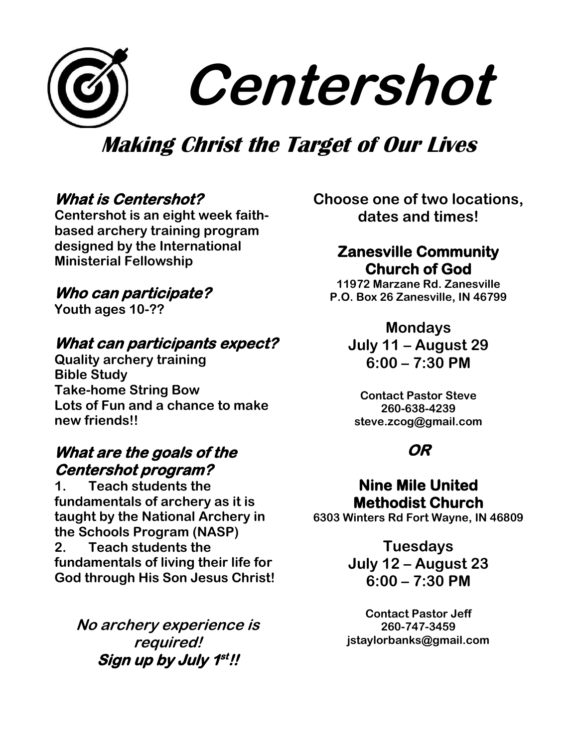# **Centershot**

## **Making Christ the Target of Our Lives**

#### **What is Centershot?**

**Centershot is an eight week faithbased archery training program designed by the International Ministerial Fellowship**

#### **Who can participate?**

**Youth ages 10-??**

### **What can participants expect?**

**Quality archery training Bible Study Take-home String Bow Lots of Fun and a chance to make new friends!!**

#### **What are the goals of the Centershot program?**

**1. Teach students the fundamentals of archery as it is taught by the National Archery in the Schools Program (NASP) 2. Teach students the fundamentals of living their life for God through His Son Jesus Christ!**

**No archery experience is required! Sign up by July 1 st !!** 

**Choose one of two locations, dates and times!**

#### **Zanesville Community Church of God**

**11972 Marzane Rd. Zanesville P.O. Box 26 Zanesville, IN 46799**

#### **Mondays**

**July 11 – August 29 6:00 – 7:30 PM**

**Contact Pastor Steve 260-638-4239 steve.zcog@gmail.com**

#### **OR**

#### **Nine Mile United Methodist Church**

**6303 Winters Rd Fort Wayne, IN 46809**

**Tuesdays July 12 – August 23 6:00 – 7:30 PM**

**Contact Pastor Jeff 260-747-3459 jstaylorbanks@gmail.com**